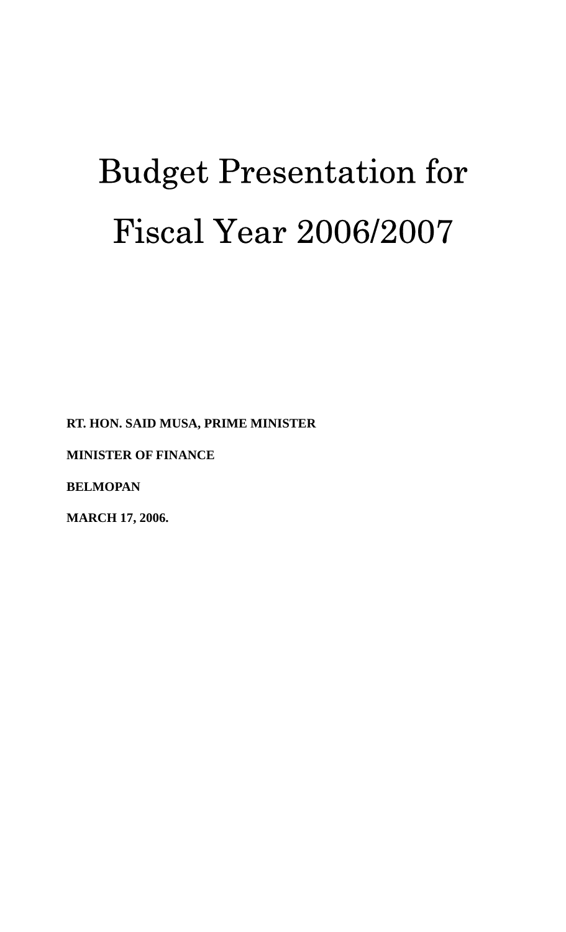# Budget Presentation for Fiscal Year 2006/2007

**RT. HON. SAID MUSA, PRIME MINISTER** 

**MINISTER OF FINANCE** 

**BELMOPAN** 

**MARCH 17, 2006.**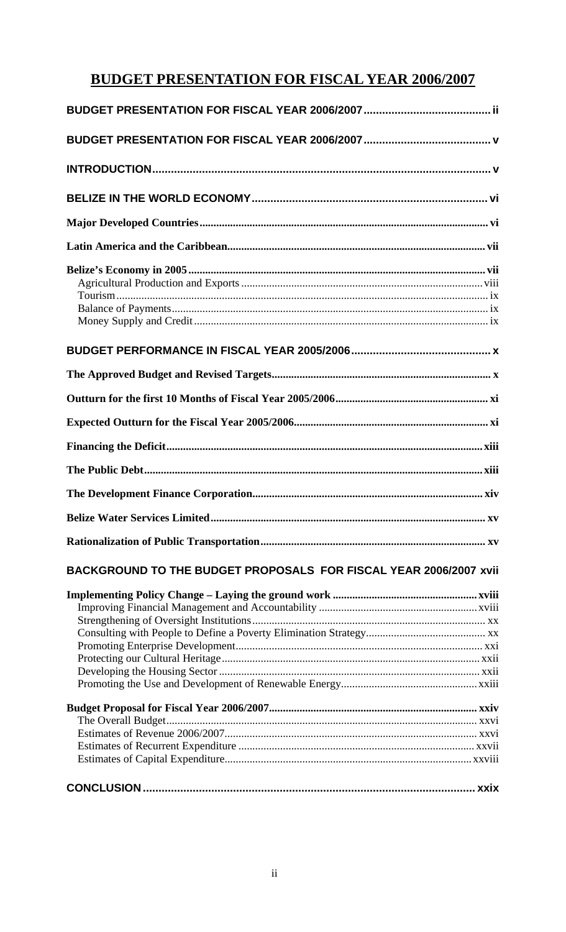# **BUDGET PRESENTATION FOR FISCAL YEAR 2006/2007**

# BACKGROUND TO THE BUDGET PROPOSALS FOR FISCAL YEAR 2006/2007 xvii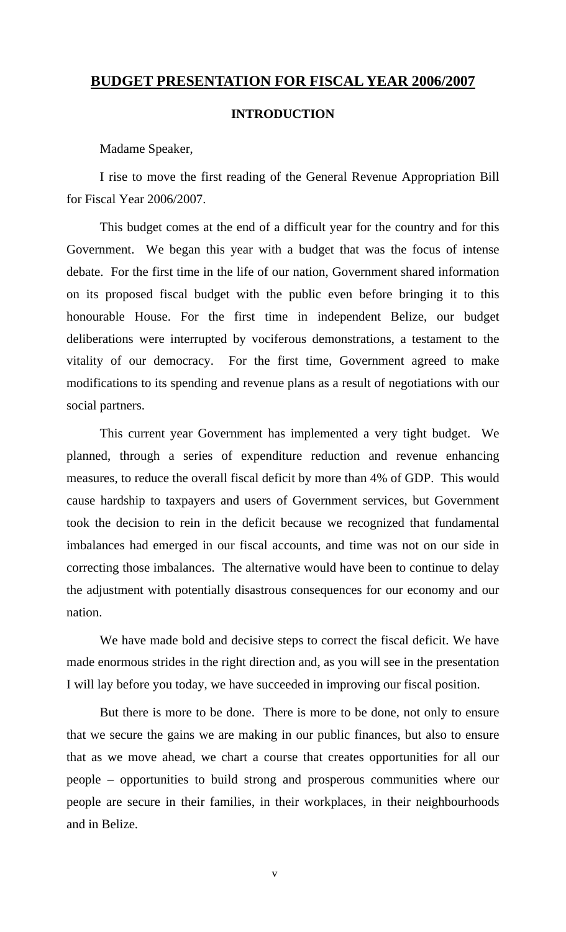# **BUDGET PRESENTATION FOR FISCAL YEAR 2006/2007**

#### **INTRODUCTION**

Madame Speaker,

I rise to move the first reading of the General Revenue Appropriation Bill for Fiscal Year 2006/2007.

This budget comes at the end of a difficult year for the country and for this Government. We began this year with a budget that was the focus of intense debate. For the first time in the life of our nation, Government shared information on its proposed fiscal budget with the public even before bringing it to this honourable House. For the first time in independent Belize, our budget deliberations were interrupted by vociferous demonstrations, a testament to the vitality of our democracy. For the first time, Government agreed to make modifications to its spending and revenue plans as a result of negotiations with our social partners.

This current year Government has implemented a very tight budget. We planned, through a series of expenditure reduction and revenue enhancing measures, to reduce the overall fiscal deficit by more than 4% of GDP. This would cause hardship to taxpayers and users of Government services, but Government took the decision to rein in the deficit because we recognized that fundamental imbalances had emerged in our fiscal accounts, and time was not on our side in correcting those imbalances. The alternative would have been to continue to delay the adjustment with potentially disastrous consequences for our economy and our nation.

We have made bold and decisive steps to correct the fiscal deficit. We have made enormous strides in the right direction and, as you will see in the presentation I will lay before you today, we have succeeded in improving our fiscal position.

But there is more to be done. There is more to be done, not only to ensure that we secure the gains we are making in our public finances, but also to ensure that as we move ahead, we chart a course that creates opportunities for all our people – opportunities to build strong and prosperous communities where our people are secure in their families, in their workplaces, in their neighbourhoods and in Belize.

v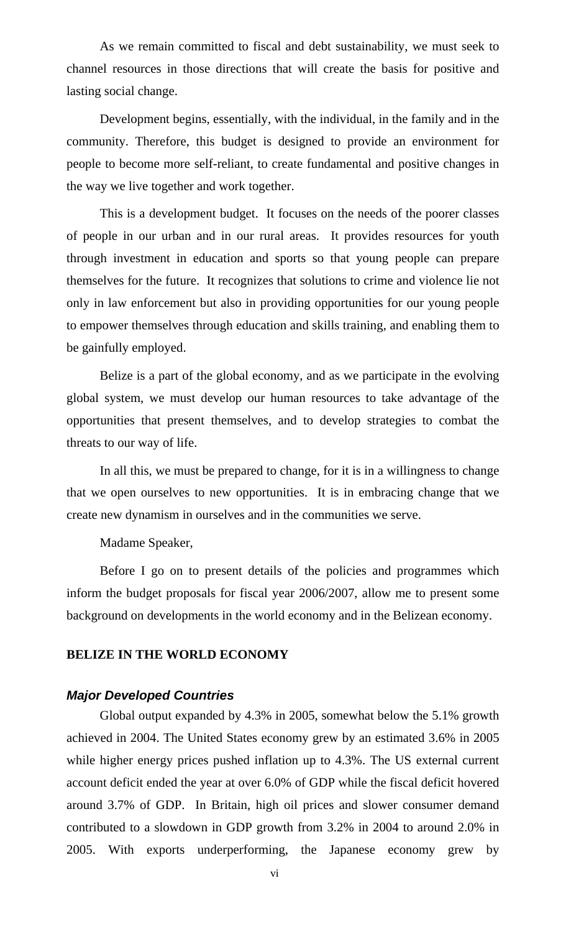As we remain committed to fiscal and debt sustainability, we must seek to channel resources in those directions that will create the basis for positive and lasting social change.

Development begins, essentially, with the individual, in the family and in the community. Therefore, this budget is designed to provide an environment for people to become more self-reliant, to create fundamental and positive changes in the way we live together and work together.

This is a development budget. It focuses on the needs of the poorer classes of people in our urban and in our rural areas. It provides resources for youth through investment in education and sports so that young people can prepare themselves for the future. It recognizes that solutions to crime and violence lie not only in law enforcement but also in providing opportunities for our young people to empower themselves through education and skills training, and enabling them to be gainfully employed.

Belize is a part of the global economy, and as we participate in the evolving global system, we must develop our human resources to take advantage of the opportunities that present themselves, and to develop strategies to combat the threats to our way of life.

In all this, we must be prepared to change, for it is in a willingness to change that we open ourselves to new opportunities. It is in embracing change that we create new dynamism in ourselves and in the communities we serve.

#### Madame Speaker,

Before I go on to present details of the policies and programmes which inform the budget proposals for fiscal year 2006/2007, allow me to present some background on developments in the world economy and in the Belizean economy.

#### **BELIZE IN THE WORLD ECONOMY**

#### *Major Developed Countries*

Global output expanded by 4.3% in 2005, somewhat below the 5.1% growth achieved in 2004. The United States economy grew by an estimated 3.6% in 2005 while higher energy prices pushed inflation up to 4.3%. The US external current account deficit ended the year at over 6.0% of GDP while the fiscal deficit hovered around 3.7% of GDP. In Britain, high oil prices and slower consumer demand contributed to a slowdown in GDP growth from 3.2% in 2004 to around 2.0% in 2005. With exports underperforming, the Japanese economy grew by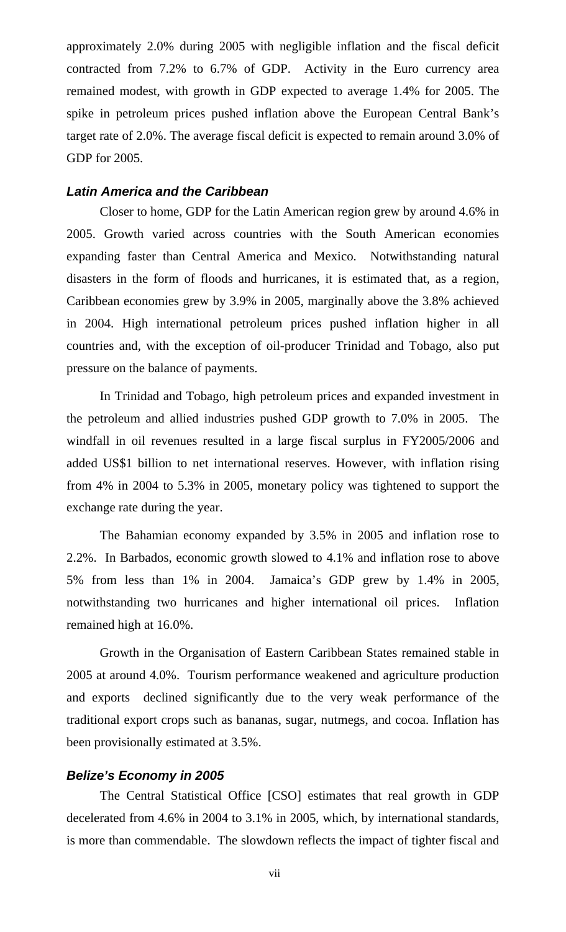approximately 2.0% during 2005 with negligible inflation and the fiscal deficit contracted from 7.2% to 6.7% of GDP. Activity in the Euro currency area remained modest, with growth in GDP expected to average 1.4% for 2005. The spike in petroleum prices pushed inflation above the European Central Bank's target rate of 2.0%. The average fiscal deficit is expected to remain around 3.0% of GDP for 2005.

# *Latin America and the Caribbean*

Closer to home, GDP for the Latin American region grew by around 4.6% in 2005. Growth varied across countries with the South American economies expanding faster than Central America and Mexico. Notwithstanding natural disasters in the form of floods and hurricanes, it is estimated that, as a region, Caribbean economies grew by 3.9% in 2005, marginally above the 3.8% achieved in 2004. High international petroleum prices pushed inflation higher in all countries and, with the exception of oil-producer Trinidad and Tobago, also put pressure on the balance of payments.

In Trinidad and Tobago, high petroleum prices and expanded investment in the petroleum and allied industries pushed GDP growth to 7.0% in 2005. The windfall in oil revenues resulted in a large fiscal surplus in FY2005/2006 and added US\$1 billion to net international reserves. However, with inflation rising from 4% in 2004 to 5.3% in 2005, monetary policy was tightened to support the exchange rate during the year.

The Bahamian economy expanded by 3.5% in 2005 and inflation rose to 2.2%. In Barbados, economic growth slowed to 4.1% and inflation rose to above 5% from less than 1% in 2004. Jamaica's GDP grew by 1.4% in 2005, notwithstanding two hurricanes and higher international oil prices. Inflation remained high at 16.0%.

Growth in the Organisation of Eastern Caribbean States remained stable in 2005 at around 4.0%. Tourism performance weakened and agriculture production and exports declined significantly due to the very weak performance of the traditional export crops such as bananas, sugar, nutmegs, and cocoa. Inflation has been provisionally estimated at 3.5%.

# *Belize's Economy in 2005*

The Central Statistical Office [CSO] estimates that real growth in GDP decelerated from 4.6% in 2004 to 3.1% in 2005, which, by international standards, is more than commendable. The slowdown reflects the impact of tighter fiscal and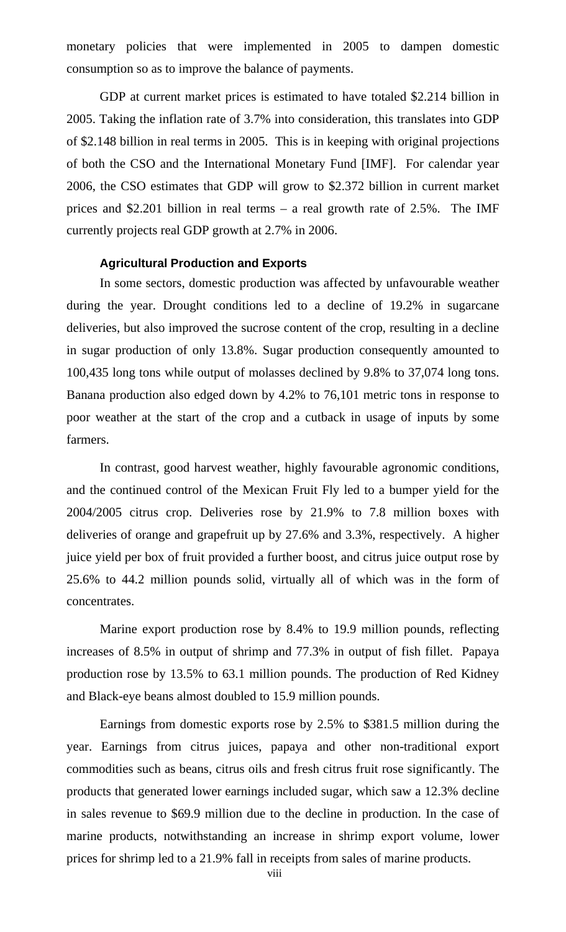monetary policies that were implemented in 2005 to dampen domestic consumption so as to improve the balance of payments.

GDP at current market prices is estimated to have totaled \$2.214 billion in 2005. Taking the inflation rate of 3.7% into consideration, this translates into GDP of \$2.148 billion in real terms in 2005. This is in keeping with original projections of both the CSO and the International Monetary Fund [IMF]. For calendar year 2006, the CSO estimates that GDP will grow to \$2.372 billion in current market prices and \$2.201 billion in real terms – a real growth rate of 2.5%. The IMF currently projects real GDP growth at 2.7% in 2006.

#### **Agricultural Production and Exports**

In some sectors, domestic production was affected by unfavourable weather during the year. Drought conditions led to a decline of 19.2% in sugarcane deliveries, but also improved the sucrose content of the crop, resulting in a decline in sugar production of only 13.8%. Sugar production consequently amounted to 100,435 long tons while output of molasses declined by 9.8% to 37,074 long tons. Banana production also edged down by 4.2% to 76,101 metric tons in response to poor weather at the start of the crop and a cutback in usage of inputs by some farmers.

In contrast, good harvest weather, highly favourable agronomic conditions, and the continued control of the Mexican Fruit Fly led to a bumper yield for the 2004/2005 citrus crop. Deliveries rose by 21.9% to 7.8 million boxes with deliveries of orange and grapefruit up by 27.6% and 3.3%, respectively. A higher juice yield per box of fruit provided a further boost, and citrus juice output rose by 25.6% to 44.2 million pounds solid, virtually all of which was in the form of concentrates.

Marine export production rose by 8.4% to 19.9 million pounds, reflecting increases of 8.5% in output of shrimp and 77.3% in output of fish fillet. Papaya production rose by 13.5% to 63.1 million pounds. The production of Red Kidney and Black-eye beans almost doubled to 15.9 million pounds.

Earnings from domestic exports rose by 2.5% to \$381.5 million during the year. Earnings from citrus juices, papaya and other non-traditional export commodities such as beans, citrus oils and fresh citrus fruit rose significantly. The products that generated lower earnings included sugar, which saw a 12.3% decline in sales revenue to \$69.9 million due to the decline in production. In the case of marine products, notwithstanding an increase in shrimp export volume, lower prices for shrimp led to a 21.9% fall in receipts from sales of marine products.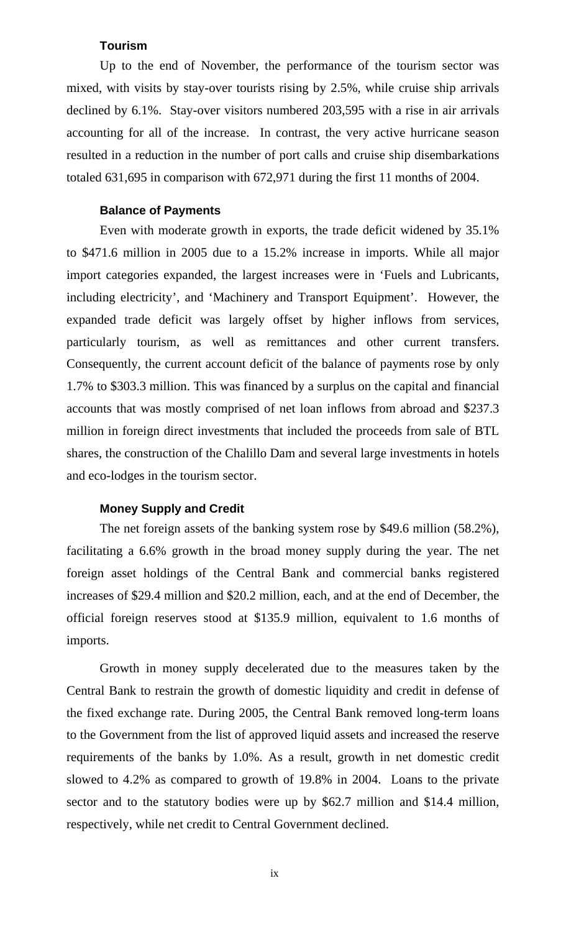#### **Tourism**

Up to the end of November, the performance of the tourism sector was mixed, with visits by stay-over tourists rising by 2.5%, while cruise ship arrivals declined by 6.1%. Stay-over visitors numbered 203,595 with a rise in air arrivals accounting for all of the increase. In contrast, the very active hurricane season resulted in a reduction in the number of port calls and cruise ship disembarkations totaled 631,695 in comparison with 672,971 during the first 11 months of 2004.

# **Balance of Payments**

Even with moderate growth in exports, the trade deficit widened by 35.1% to \$471.6 million in 2005 due to a 15.2% increase in imports. While all major import categories expanded, the largest increases were in 'Fuels and Lubricants, including electricity', and 'Machinery and Transport Equipment'. However, the expanded trade deficit was largely offset by higher inflows from services, particularly tourism, as well as remittances and other current transfers. Consequently, the current account deficit of the balance of payments rose by only 1.7% to \$303.3 million. This was financed by a surplus on the capital and financial accounts that was mostly comprised of net loan inflows from abroad and \$237.3 million in foreign direct investments that included the proceeds from sale of BTL shares, the construction of the Chalillo Dam and several large investments in hotels and eco-lodges in the tourism sector.

# **Money Supply and Credit**

The net foreign assets of the banking system rose by \$49.6 million (58.2%), facilitating a 6.6% growth in the broad money supply during the year. The net foreign asset holdings of the Central Bank and commercial banks registered increases of \$29.4 million and \$20.2 million, each, and at the end of December, the official foreign reserves stood at \$135.9 million, equivalent to 1.6 months of imports.

Growth in money supply decelerated due to the measures taken by the Central Bank to restrain the growth of domestic liquidity and credit in defense of the fixed exchange rate. During 2005, the Central Bank removed long-term loans to the Government from the list of approved liquid assets and increased the reserve requirements of the banks by 1.0%. As a result, growth in net domestic credit slowed to 4.2% as compared to growth of 19.8% in 2004. Loans to the private sector and to the statutory bodies were up by \$62.7 million and \$14.4 million, respectively, while net credit to Central Government declined.

ix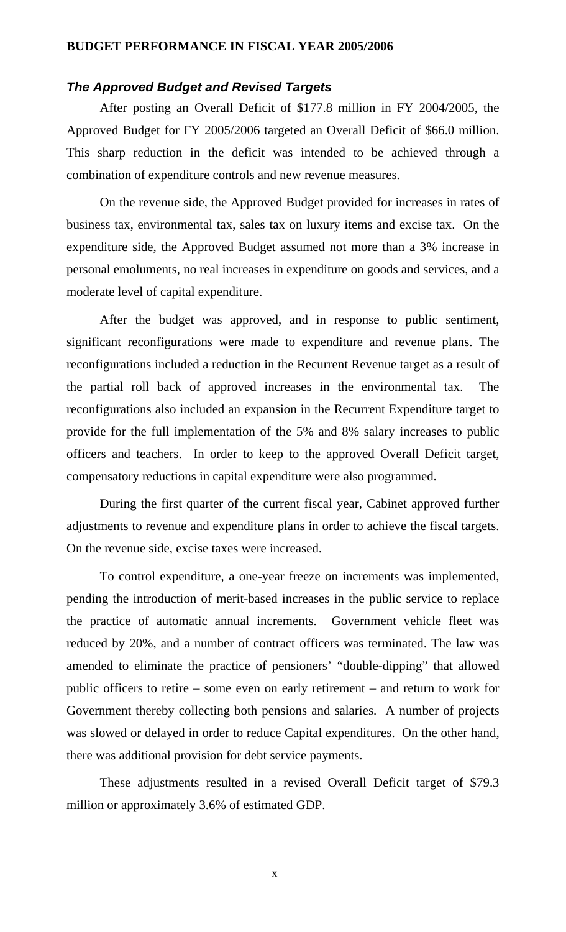#### **BUDGET PERFORMANCE IN FISCAL YEAR 2005/2006**

#### *The Approved Budget and Revised Targets*

After posting an Overall Deficit of \$177.8 million in FY 2004/2005, the Approved Budget for FY 2005/2006 targeted an Overall Deficit of \$66.0 million. This sharp reduction in the deficit was intended to be achieved through a combination of expenditure controls and new revenue measures.

On the revenue side, the Approved Budget provided for increases in rates of business tax, environmental tax, sales tax on luxury items and excise tax. On the expenditure side, the Approved Budget assumed not more than a 3% increase in personal emoluments, no real increases in expenditure on goods and services, and a moderate level of capital expenditure.

After the budget was approved, and in response to public sentiment, significant reconfigurations were made to expenditure and revenue plans. The reconfigurations included a reduction in the Recurrent Revenue target as a result of the partial roll back of approved increases in the environmental tax. The reconfigurations also included an expansion in the Recurrent Expenditure target to provide for the full implementation of the 5% and 8% salary increases to public officers and teachers. In order to keep to the approved Overall Deficit target, compensatory reductions in capital expenditure were also programmed.

During the first quarter of the current fiscal year, Cabinet approved further adjustments to revenue and expenditure plans in order to achieve the fiscal targets. On the revenue side, excise taxes were increased.

To control expenditure, a one-year freeze on increments was implemented, pending the introduction of merit-based increases in the public service to replace the practice of automatic annual increments. Government vehicle fleet was reduced by 20%, and a number of contract officers was terminated. The law was amended to eliminate the practice of pensioners' "double-dipping" that allowed public officers to retire – some even on early retirement – and return to work for Government thereby collecting both pensions and salaries. A number of projects was slowed or delayed in order to reduce Capital expenditures. On the other hand, there was additional provision for debt service payments.

These adjustments resulted in a revised Overall Deficit target of \$79.3 million or approximately 3.6% of estimated GDP.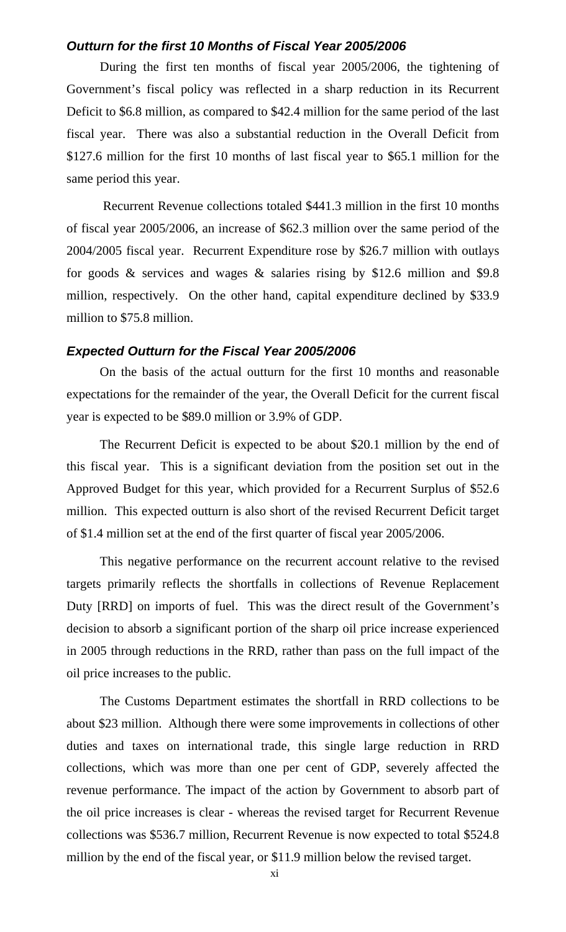# *Outturn for the first 10 Months of Fiscal Year 2005/2006*

During the first ten months of fiscal year 2005/2006, the tightening of Government's fiscal policy was reflected in a sharp reduction in its Recurrent Deficit to \$6.8 million, as compared to \$42.4 million for the same period of the last fiscal year. There was also a substantial reduction in the Overall Deficit from \$127.6 million for the first 10 months of last fiscal year to \$65.1 million for the same period this year.

 Recurrent Revenue collections totaled \$441.3 million in the first 10 months of fiscal year 2005/2006, an increase of \$62.3 million over the same period of the 2004/2005 fiscal year. Recurrent Expenditure rose by \$26.7 million with outlays for goods  $\&$  services and wages  $\&$  salaries rising by \$12.6 million and \$9.8 million, respectively. On the other hand, capital expenditure declined by \$33.9 million to \$75.8 million.

#### *Expected Outturn for the Fiscal Year 2005/2006*

On the basis of the actual outturn for the first 10 months and reasonable expectations for the remainder of the year, the Overall Deficit for the current fiscal year is expected to be \$89.0 million or 3.9% of GDP.

The Recurrent Deficit is expected to be about \$20.1 million by the end of this fiscal year. This is a significant deviation from the position set out in the Approved Budget for this year, which provided for a Recurrent Surplus of \$52.6 million. This expected outturn is also short of the revised Recurrent Deficit target of \$1.4 million set at the end of the first quarter of fiscal year 2005/2006.

This negative performance on the recurrent account relative to the revised targets primarily reflects the shortfalls in collections of Revenue Replacement Duty [RRD] on imports of fuel. This was the direct result of the Government's decision to absorb a significant portion of the sharp oil price increase experienced in 2005 through reductions in the RRD, rather than pass on the full impact of the oil price increases to the public.

The Customs Department estimates the shortfall in RRD collections to be about \$23 million. Although there were some improvements in collections of other duties and taxes on international trade, this single large reduction in RRD collections, which was more than one per cent of GDP, severely affected the revenue performance. The impact of the action by Government to absorb part of the oil price increases is clear - whereas the revised target for Recurrent Revenue collections was \$536.7 million, Recurrent Revenue is now expected to total \$524.8 million by the end of the fiscal year, or \$11.9 million below the revised target.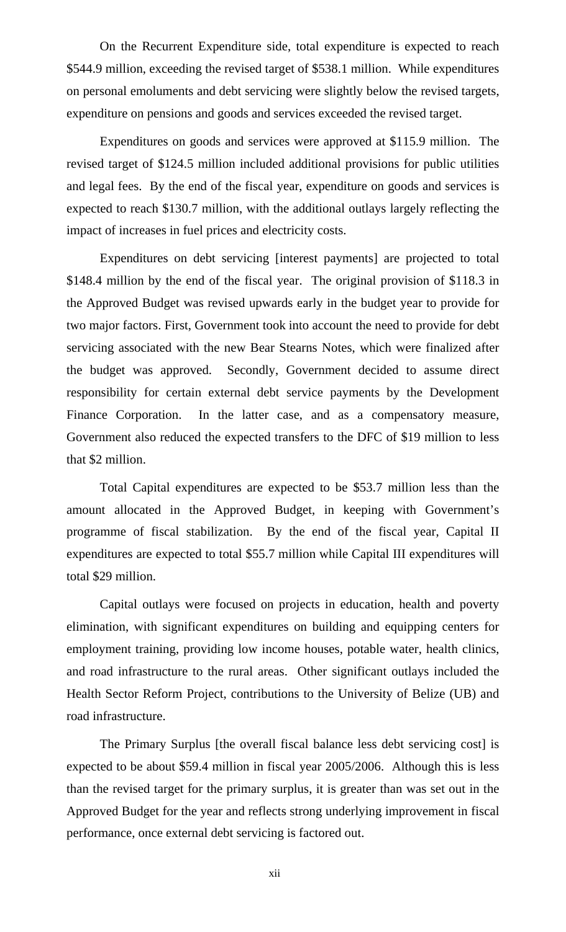On the Recurrent Expenditure side, total expenditure is expected to reach \$544.9 million, exceeding the revised target of \$538.1 million. While expenditures on personal emoluments and debt servicing were slightly below the revised targets, expenditure on pensions and goods and services exceeded the revised target.

Expenditures on goods and services were approved at \$115.9 million. The revised target of \$124.5 million included additional provisions for public utilities and legal fees. By the end of the fiscal year, expenditure on goods and services is expected to reach \$130.7 million, with the additional outlays largely reflecting the impact of increases in fuel prices and electricity costs.

Expenditures on debt servicing [interest payments] are projected to total \$148.4 million by the end of the fiscal year. The original provision of \$118.3 in the Approved Budget was revised upwards early in the budget year to provide for two major factors. First, Government took into account the need to provide for debt servicing associated with the new Bear Stearns Notes, which were finalized after the budget was approved. Secondly, Government decided to assume direct responsibility for certain external debt service payments by the Development Finance Corporation. In the latter case, and as a compensatory measure, Government also reduced the expected transfers to the DFC of \$19 million to less that \$2 million.

Total Capital expenditures are expected to be \$53.7 million less than the amount allocated in the Approved Budget, in keeping with Government's programme of fiscal stabilization. By the end of the fiscal year, Capital II expenditures are expected to total \$55.7 million while Capital III expenditures will total \$29 million.

Capital outlays were focused on projects in education, health and poverty elimination, with significant expenditures on building and equipping centers for employment training, providing low income houses, potable water, health clinics, and road infrastructure to the rural areas. Other significant outlays included the Health Sector Reform Project, contributions to the University of Belize (UB) and road infrastructure.

The Primary Surplus [the overall fiscal balance less debt servicing cost] is expected to be about \$59.4 million in fiscal year 2005/2006. Although this is less than the revised target for the primary surplus, it is greater than was set out in the Approved Budget for the year and reflects strong underlying improvement in fiscal performance, once external debt servicing is factored out.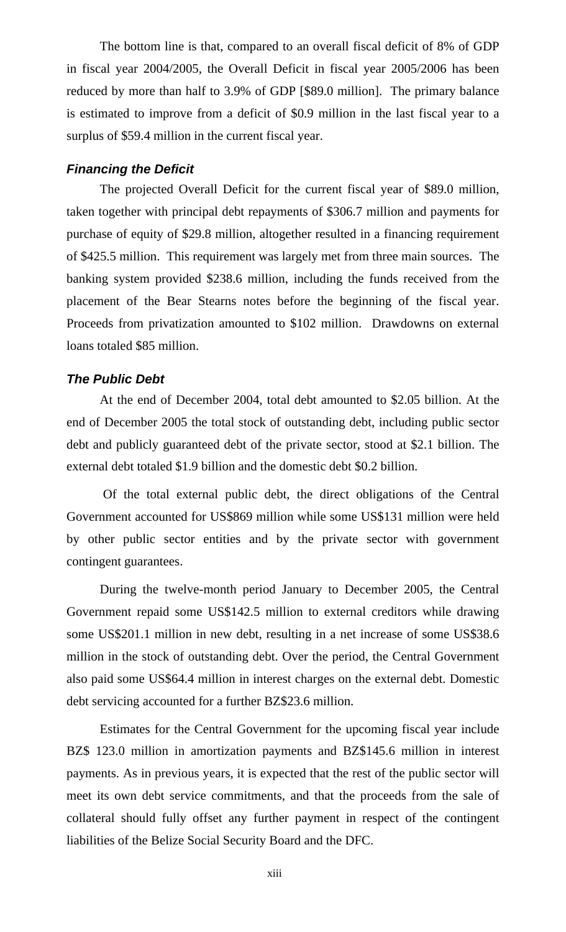The bottom line is that, compared to an overall fiscal deficit of 8% of GDP in fiscal year 2004/2005, the Overall Deficit in fiscal year 2005/2006 has been reduced by more than half to 3.9% of GDP [\$89.0 million]. The primary balance is estimated to improve from a deficit of \$0.9 million in the last fiscal year to a surplus of \$59.4 million in the current fiscal year.

#### *Financing the Deficit*

The projected Overall Deficit for the current fiscal year of \$89.0 million, taken together with principal debt repayments of \$306.7 million and payments for purchase of equity of \$29.8 million, altogether resulted in a financing requirement of \$425.5 million. This requirement was largely met from three main sources. The banking system provided \$238.6 million, including the funds received from the placement of the Bear Stearns notes before the beginning of the fiscal year. Proceeds from privatization amounted to \$102 million. Drawdowns on external loans totaled \$85 million.

#### *The Public Debt*

At the end of December 2004, total debt amounted to \$2.05 billion. At the end of December 2005 the total stock of outstanding debt, including public sector debt and publicly guaranteed debt of the private sector, stood at \$2.1 billion. The external debt totaled \$1.9 billion and the domestic debt \$0.2 billion.

 Of the total external public debt, the direct obligations of the Central Government accounted for US\$869 million while some US\$131 million were held by other public sector entities and by the private sector with government contingent guarantees.

During the twelve-month period January to December 2005, the Central Government repaid some US\$142.5 million to external creditors while drawing some US\$201.1 million in new debt, resulting in a net increase of some US\$38.6 million in the stock of outstanding debt. Over the period, the Central Government also paid some US\$64.4 million in interest charges on the external debt. Domestic debt servicing accounted for a further BZ\$23.6 million.

Estimates for the Central Government for the upcoming fiscal year include BZ\$ 123.0 million in amortization payments and BZ\$145.6 million in interest payments. As in previous years, it is expected that the rest of the public sector will meet its own debt service commitments, and that the proceeds from the sale of collateral should fully offset any further payment in respect of the contingent liabilities of the Belize Social Security Board and the DFC.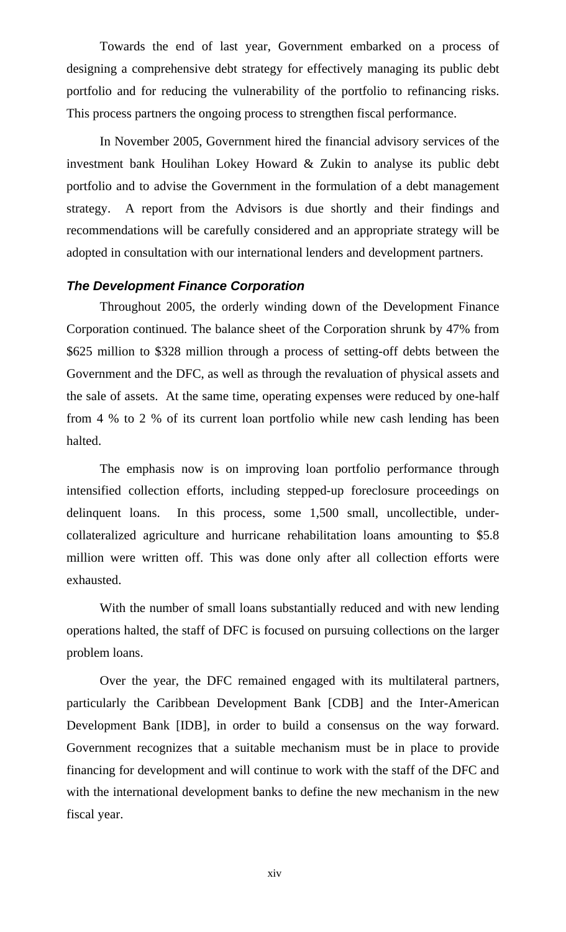Towards the end of last year, Government embarked on a process of designing a comprehensive debt strategy for effectively managing its public debt portfolio and for reducing the vulnerability of the portfolio to refinancing risks. This process partners the ongoing process to strengthen fiscal performance.

In November 2005, Government hired the financial advisory services of the investment bank Houlihan Lokey Howard & Zukin to analyse its public debt portfolio and to advise the Government in the formulation of a debt management strategy. A report from the Advisors is due shortly and their findings and recommendations will be carefully considered and an appropriate strategy will be adopted in consultation with our international lenders and development partners.

# *The Development Finance Corporation*

Throughout 2005, the orderly winding down of the Development Finance Corporation continued. The balance sheet of the Corporation shrunk by 47% from \$625 million to \$328 million through a process of setting-off debts between the Government and the DFC, as well as through the revaluation of physical assets and the sale of assets. At the same time, operating expenses were reduced by one-half from 4 % to 2 % of its current loan portfolio while new cash lending has been halted.

The emphasis now is on improving loan portfolio performance through intensified collection efforts, including stepped-up foreclosure proceedings on delinquent loans. In this process, some 1,500 small, uncollectible, undercollateralized agriculture and hurricane rehabilitation loans amounting to \$5.8 million were written off. This was done only after all collection efforts were exhausted.

With the number of small loans substantially reduced and with new lending operations halted, the staff of DFC is focused on pursuing collections on the larger problem loans.

Over the year, the DFC remained engaged with its multilateral partners, particularly the Caribbean Development Bank [CDB] and the Inter-American Development Bank [IDB], in order to build a consensus on the way forward. Government recognizes that a suitable mechanism must be in place to provide financing for development and will continue to work with the staff of the DFC and with the international development banks to define the new mechanism in the new fiscal year.

xiv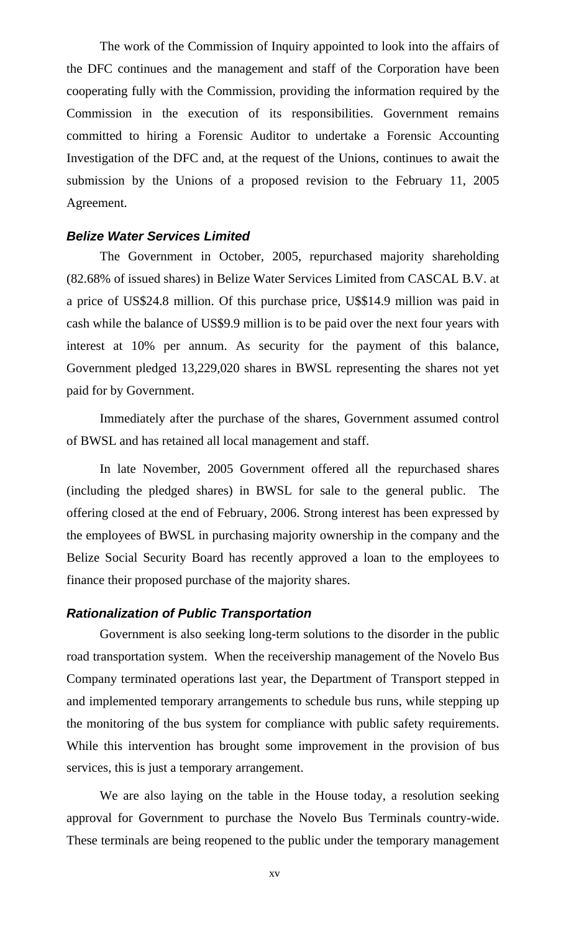The work of the Commission of Inquiry appointed to look into the affairs of the DFC continues and the management and staff of the Corporation have been cooperating fully with the Commission, providing the information required by the Commission in the execution of its responsibilities. Government remains committed to hiring a Forensic Auditor to undertake a Forensic Accounting Investigation of the DFC and, at the request of the Unions, continues to await the submission by the Unions of a proposed revision to the February 11, 2005 Agreement.

#### *Belize Water Services Limited*

The Government in October, 2005, repurchased majority shareholding (82.68% of issued shares) in Belize Water Services Limited from CASCAL B.V. at a price of US\$24.8 million. Of this purchase price, U\$\$14.9 million was paid in cash while the balance of US\$9.9 million is to be paid over the next four years with interest at 10% per annum. As security for the payment of this balance, Government pledged 13,229,020 shares in BWSL representing the shares not yet paid for by Government.

Immediately after the purchase of the shares, Government assumed control of BWSL and has retained all local management and staff.

In late November, 2005 Government offered all the repurchased shares (including the pledged shares) in BWSL for sale to the general public. The offering closed at the end of February, 2006. Strong interest has been expressed by the employees of BWSL in purchasing majority ownership in the company and the Belize Social Security Board has recently approved a loan to the employees to finance their proposed purchase of the majority shares.

#### *Rationalization of Public Transportation*

Government is also seeking long-term solutions to the disorder in the public road transportation system. When the receivership management of the Novelo Bus Company terminated operations last year, the Department of Transport stepped in and implemented temporary arrangements to schedule bus runs, while stepping up the monitoring of the bus system for compliance with public safety requirements. While this intervention has brought some improvement in the provision of bus services, this is just a temporary arrangement.

We are also laying on the table in the House today, a resolution seeking approval for Government to purchase the Novelo Bus Terminals country-wide. These terminals are being reopened to the public under the temporary management

xv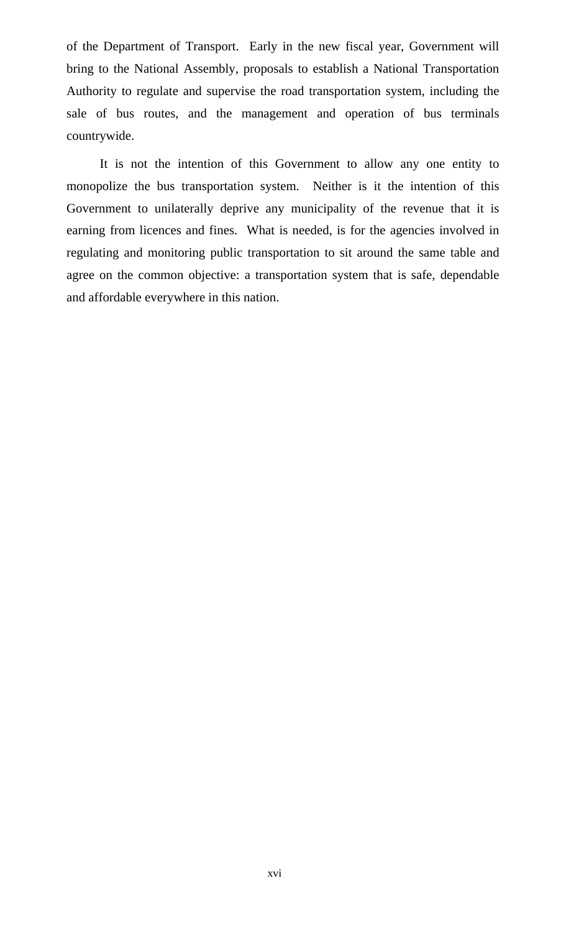of the Department of Transport. Early in the new fiscal year, Government will bring to the National Assembly, proposals to establish a National Transportation Authority to regulate and supervise the road transportation system, including the sale of bus routes, and the management and operation of bus terminals countrywide.

It is not the intention of this Government to allow any one entity to monopolize the bus transportation system. Neither is it the intention of this Government to unilaterally deprive any municipality of the revenue that it is earning from licences and fines. What is needed, is for the agencies involved in regulating and monitoring public transportation to sit around the same table and agree on the common objective: a transportation system that is safe, dependable and affordable everywhere in this nation.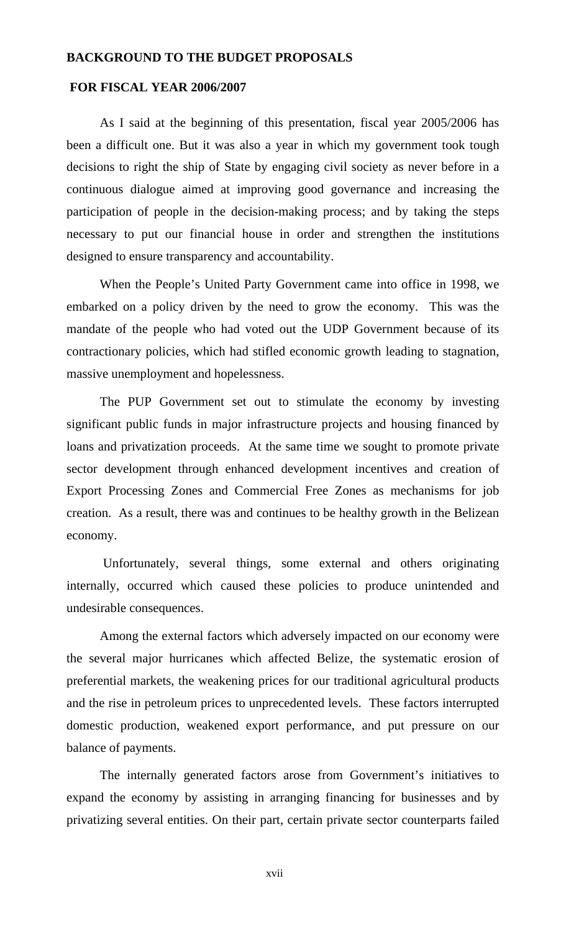#### **BACKGROUND TO THE BUDGET PROPOSALS**

#### **FOR FISCAL YEAR 2006/2007**

As I said at the beginning of this presentation, fiscal year 2005/2006 has been a difficult one. But it was also a year in which my government took tough decisions to right the ship of State by engaging civil society as never before in a continuous dialogue aimed at improving good governance and increasing the participation of people in the decision-making process; and by taking the steps necessary to put our financial house in order and strengthen the institutions designed to ensure transparency and accountability.

When the People's United Party Government came into office in 1998, we embarked on a policy driven by the need to grow the economy. This was the mandate of the people who had voted out the UDP Government because of its contractionary policies, which had stifled economic growth leading to stagnation, massive unemployment and hopelessness.

The PUP Government set out to stimulate the economy by investing significant public funds in major infrastructure projects and housing financed by loans and privatization proceeds. At the same time we sought to promote private sector development through enhanced development incentives and creation of Export Processing Zones and Commercial Free Zones as mechanisms for job creation. As a result, there was and continues to be healthy growth in the Belizean economy.

 Unfortunately, several things, some external and others originating internally, occurred which caused these policies to produce unintended and undesirable consequences.

Among the external factors which adversely impacted on our economy were the several major hurricanes which affected Belize, the systematic erosion of preferential markets, the weakening prices for our traditional agricultural products and the rise in petroleum prices to unprecedented levels. These factors interrupted domestic production, weakened export performance, and put pressure on our balance of payments.

The internally generated factors arose from Government's initiatives to expand the economy by assisting in arranging financing for businesses and by privatizing several entities. On their part, certain private sector counterparts failed

xvii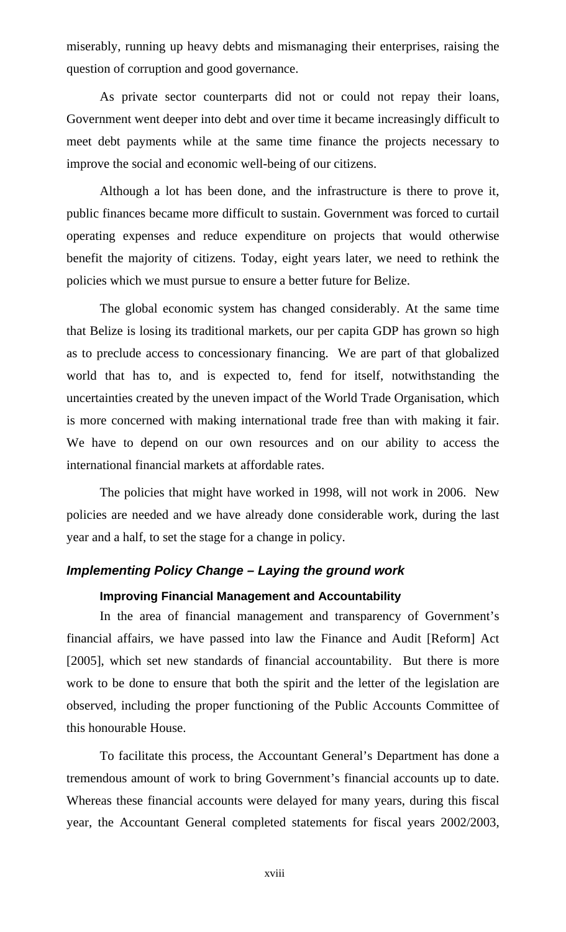miserably, running up heavy debts and mismanaging their enterprises, raising the question of corruption and good governance.

As private sector counterparts did not or could not repay their loans, Government went deeper into debt and over time it became increasingly difficult to meet debt payments while at the same time finance the projects necessary to improve the social and economic well-being of our citizens.

Although a lot has been done, and the infrastructure is there to prove it, public finances became more difficult to sustain. Government was forced to curtail operating expenses and reduce expenditure on projects that would otherwise benefit the majority of citizens. Today, eight years later, we need to rethink the policies which we must pursue to ensure a better future for Belize.

The global economic system has changed considerably. At the same time that Belize is losing its traditional markets, our per capita GDP has grown so high as to preclude access to concessionary financing. We are part of that globalized world that has to, and is expected to, fend for itself, notwithstanding the uncertainties created by the uneven impact of the World Trade Organisation, which is more concerned with making international trade free than with making it fair. We have to depend on our own resources and on our ability to access the international financial markets at affordable rates.

The policies that might have worked in 1998, will not work in 2006. New policies are needed and we have already done considerable work, during the last year and a half, to set the stage for a change in policy.

#### *Implementing Policy Change – Laying the ground work*

#### **Improving Financial Management and Accountability**

In the area of financial management and transparency of Government's financial affairs, we have passed into law the Finance and Audit [Reform] Act [2005], which set new standards of financial accountability. But there is more work to be done to ensure that both the spirit and the letter of the legislation are observed, including the proper functioning of the Public Accounts Committee of this honourable House.

To facilitate this process, the Accountant General's Department has done a tremendous amount of work to bring Government's financial accounts up to date. Whereas these financial accounts were delayed for many years, during this fiscal year, the Accountant General completed statements for fiscal years 2002/2003,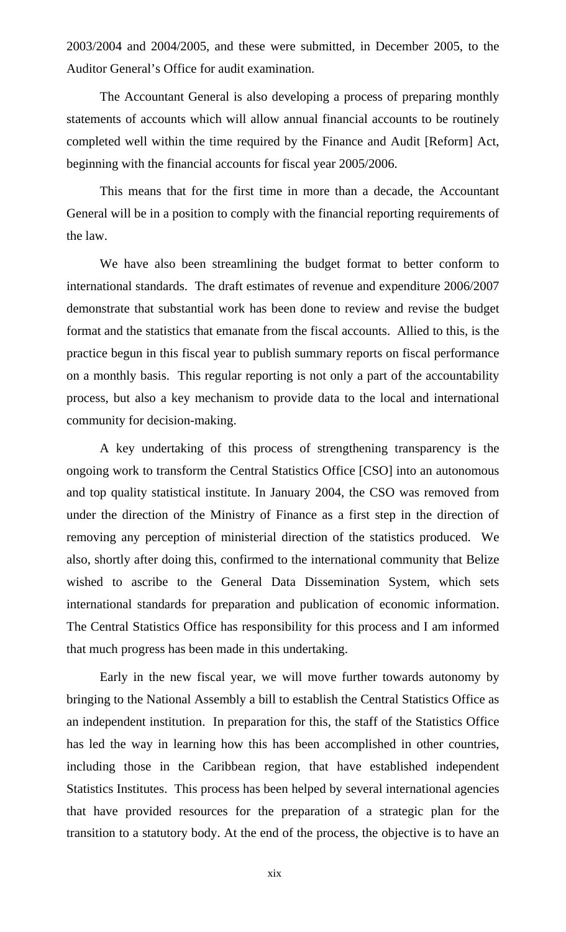2003/2004 and 2004/2005, and these were submitted, in December 2005, to the Auditor General's Office for audit examination.

The Accountant General is also developing a process of preparing monthly statements of accounts which will allow annual financial accounts to be routinely completed well within the time required by the Finance and Audit [Reform] Act, beginning with the financial accounts for fiscal year 2005/2006.

This means that for the first time in more than a decade, the Accountant General will be in a position to comply with the financial reporting requirements of the law.

We have also been streamlining the budget format to better conform to international standards. The draft estimates of revenue and expenditure 2006/2007 demonstrate that substantial work has been done to review and revise the budget format and the statistics that emanate from the fiscal accounts. Allied to this, is the practice begun in this fiscal year to publish summary reports on fiscal performance on a monthly basis. This regular reporting is not only a part of the accountability process, but also a key mechanism to provide data to the local and international community for decision-making.

A key undertaking of this process of strengthening transparency is the ongoing work to transform the Central Statistics Office [CSO] into an autonomous and top quality statistical institute. In January 2004, the CSO was removed from under the direction of the Ministry of Finance as a first step in the direction of removing any perception of ministerial direction of the statistics produced. We also, shortly after doing this, confirmed to the international community that Belize wished to ascribe to the General Data Dissemination System, which sets international standards for preparation and publication of economic information. The Central Statistics Office has responsibility for this process and I am informed that much progress has been made in this undertaking.

Early in the new fiscal year, we will move further towards autonomy by bringing to the National Assembly a bill to establish the Central Statistics Office as an independent institution. In preparation for this, the staff of the Statistics Office has led the way in learning how this has been accomplished in other countries, including those in the Caribbean region, that have established independent Statistics Institutes. This process has been helped by several international agencies that have provided resources for the preparation of a strategic plan for the transition to a statutory body. At the end of the process, the objective is to have an

xix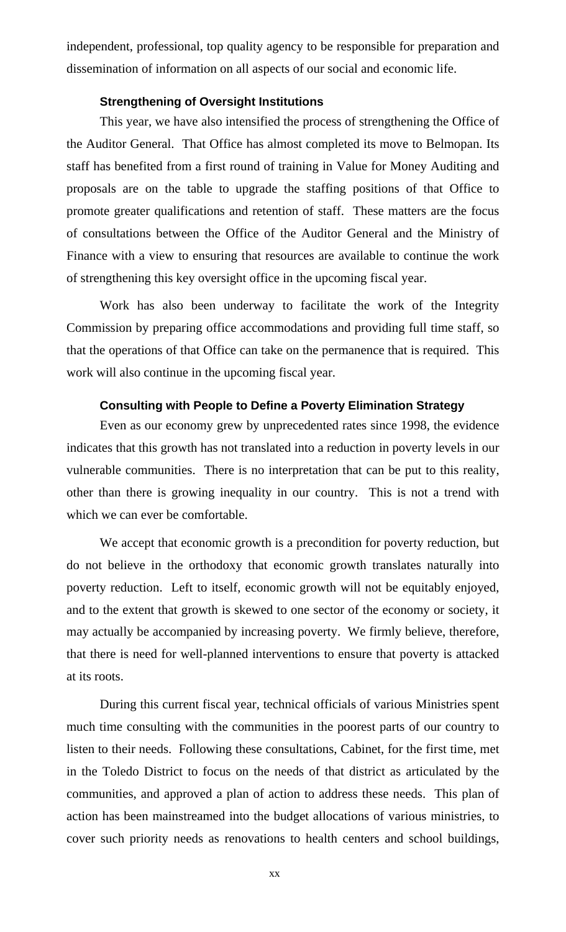independent, professional, top quality agency to be responsible for preparation and dissemination of information on all aspects of our social and economic life.

# **Strengthening of Oversight Institutions**

This year, we have also intensified the process of strengthening the Office of the Auditor General. That Office has almost completed its move to Belmopan. Its staff has benefited from a first round of training in Value for Money Auditing and proposals are on the table to upgrade the staffing positions of that Office to promote greater qualifications and retention of staff. These matters are the focus of consultations between the Office of the Auditor General and the Ministry of Finance with a view to ensuring that resources are available to continue the work of strengthening this key oversight office in the upcoming fiscal year.

Work has also been underway to facilitate the work of the Integrity Commission by preparing office accommodations and providing full time staff, so that the operations of that Office can take on the permanence that is required. This work will also continue in the upcoming fiscal year.

# **Consulting with People to Define a Poverty Elimination Strategy**

Even as our economy grew by unprecedented rates since 1998, the evidence indicates that this growth has not translated into a reduction in poverty levels in our vulnerable communities. There is no interpretation that can be put to this reality, other than there is growing inequality in our country. This is not a trend with which we can ever be comfortable.

We accept that economic growth is a precondition for poverty reduction, but do not believe in the orthodoxy that economic growth translates naturally into poverty reduction. Left to itself, economic growth will not be equitably enjoyed, and to the extent that growth is skewed to one sector of the economy or society, it may actually be accompanied by increasing poverty. We firmly believe, therefore, that there is need for well-planned interventions to ensure that poverty is attacked at its roots.

During this current fiscal year, technical officials of various Ministries spent much time consulting with the communities in the poorest parts of our country to listen to their needs. Following these consultations, Cabinet, for the first time, met in the Toledo District to focus on the needs of that district as articulated by the communities, and approved a plan of action to address these needs. This plan of action has been mainstreamed into the budget allocations of various ministries, to cover such priority needs as renovations to health centers and school buildings,

xx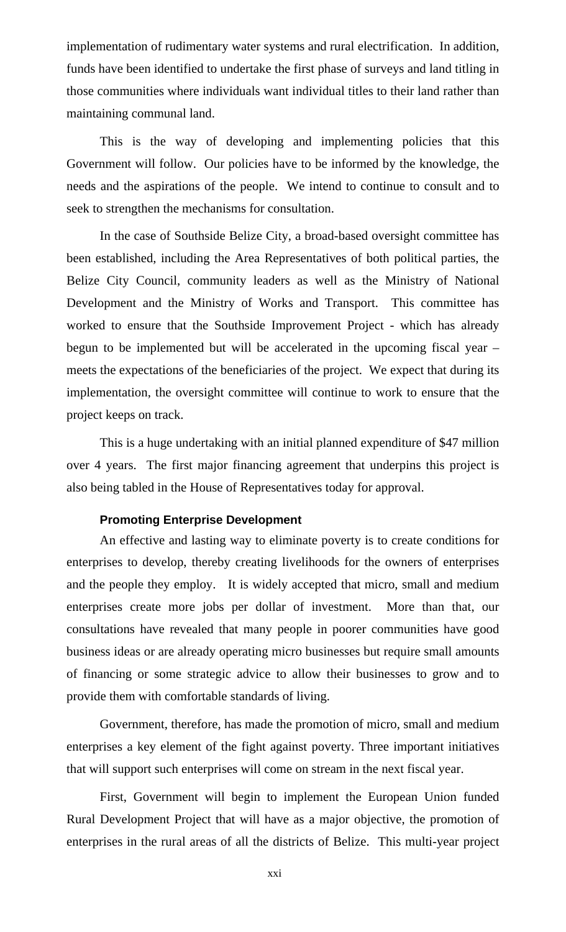implementation of rudimentary water systems and rural electrification. In addition, funds have been identified to undertake the first phase of surveys and land titling in those communities where individuals want individual titles to their land rather than maintaining communal land.

This is the way of developing and implementing policies that this Government will follow. Our policies have to be informed by the knowledge, the needs and the aspirations of the people. We intend to continue to consult and to seek to strengthen the mechanisms for consultation.

In the case of Southside Belize City, a broad-based oversight committee has been established, including the Area Representatives of both political parties, the Belize City Council, community leaders as well as the Ministry of National Development and the Ministry of Works and Transport. This committee has worked to ensure that the Southside Improvement Project - which has already begun to be implemented but will be accelerated in the upcoming fiscal year – meets the expectations of the beneficiaries of the project. We expect that during its implementation, the oversight committee will continue to work to ensure that the project keeps on track.

This is a huge undertaking with an initial planned expenditure of \$47 million over 4 years. The first major financing agreement that underpins this project is also being tabled in the House of Representatives today for approval.

# **Promoting Enterprise Development**

An effective and lasting way to eliminate poverty is to create conditions for enterprises to develop, thereby creating livelihoods for the owners of enterprises and the people they employ. It is widely accepted that micro, small and medium enterprises create more jobs per dollar of investment. More than that, our consultations have revealed that many people in poorer communities have good business ideas or are already operating micro businesses but require small amounts of financing or some strategic advice to allow their businesses to grow and to provide them with comfortable standards of living.

Government, therefore, has made the promotion of micro, small and medium enterprises a key element of the fight against poverty. Three important initiatives that will support such enterprises will come on stream in the next fiscal year.

First, Government will begin to implement the European Union funded Rural Development Project that will have as a major objective, the promotion of enterprises in the rural areas of all the districts of Belize. This multi-year project

xxi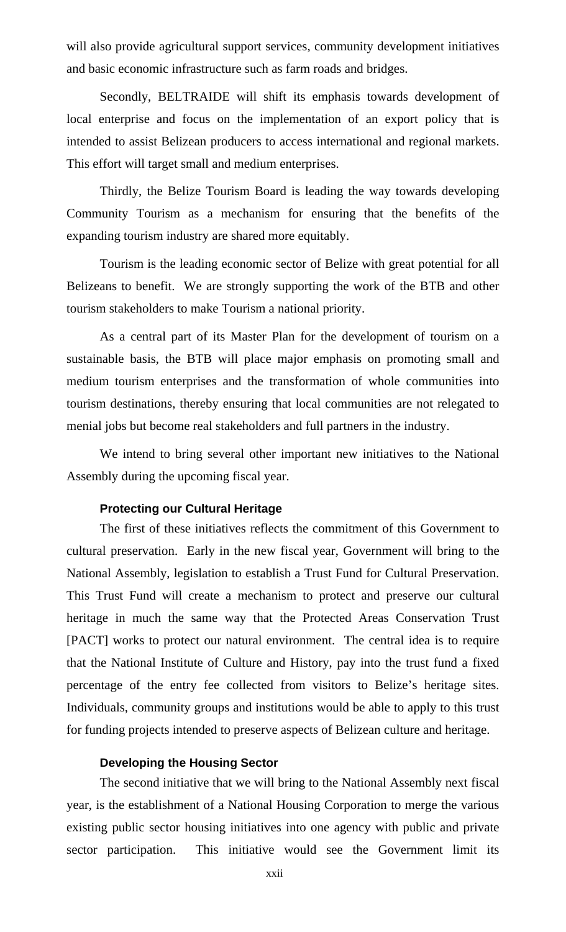will also provide agricultural support services, community development initiatives and basic economic infrastructure such as farm roads and bridges.

Secondly, BELTRAIDE will shift its emphasis towards development of local enterprise and focus on the implementation of an export policy that is intended to assist Belizean producers to access international and regional markets. This effort will target small and medium enterprises.

Thirdly, the Belize Tourism Board is leading the way towards developing Community Tourism as a mechanism for ensuring that the benefits of the expanding tourism industry are shared more equitably.

Tourism is the leading economic sector of Belize with great potential for all Belizeans to benefit. We are strongly supporting the work of the BTB and other tourism stakeholders to make Tourism a national priority.

As a central part of its Master Plan for the development of tourism on a sustainable basis, the BTB will place major emphasis on promoting small and medium tourism enterprises and the transformation of whole communities into tourism destinations, thereby ensuring that local communities are not relegated to menial jobs but become real stakeholders and full partners in the industry.

We intend to bring several other important new initiatives to the National Assembly during the upcoming fiscal year.

# **Protecting our Cultural Heritage**

The first of these initiatives reflects the commitment of this Government to cultural preservation. Early in the new fiscal year, Government will bring to the National Assembly, legislation to establish a Trust Fund for Cultural Preservation. This Trust Fund will create a mechanism to protect and preserve our cultural heritage in much the same way that the Protected Areas Conservation Trust [PACT] works to protect our natural environment. The central idea is to require that the National Institute of Culture and History, pay into the trust fund a fixed percentage of the entry fee collected from visitors to Belize's heritage sites. Individuals, community groups and institutions would be able to apply to this trust for funding projects intended to preserve aspects of Belizean culture and heritage.

#### **Developing the Housing Sector**

The second initiative that we will bring to the National Assembly next fiscal year, is the establishment of a National Housing Corporation to merge the various existing public sector housing initiatives into one agency with public and private sector participation. This initiative would see the Government limit its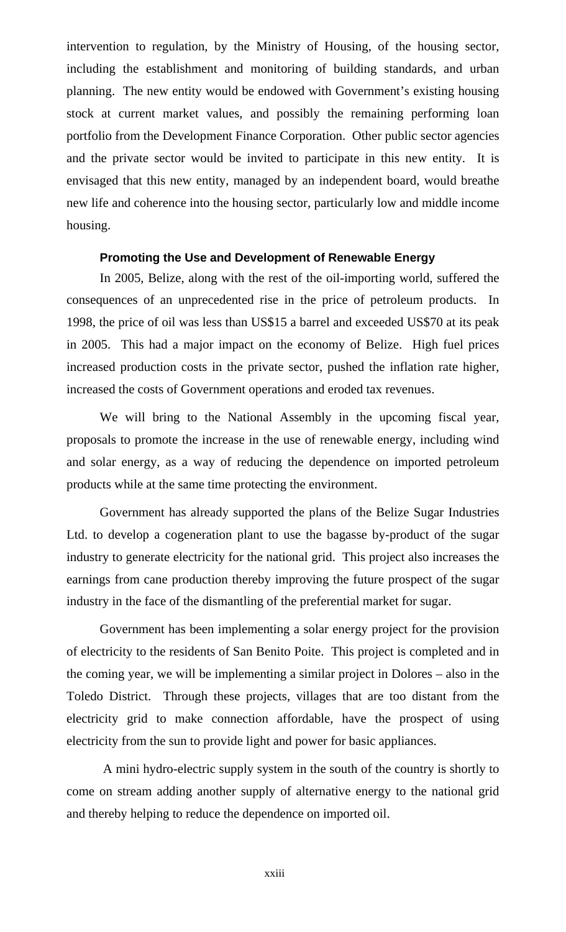intervention to regulation, by the Ministry of Housing, of the housing sector, including the establishment and monitoring of building standards, and urban planning. The new entity would be endowed with Government's existing housing stock at current market values, and possibly the remaining performing loan portfolio from the Development Finance Corporation. Other public sector agencies and the private sector would be invited to participate in this new entity. It is envisaged that this new entity, managed by an independent board, would breathe new life and coherence into the housing sector, particularly low and middle income housing.

#### **Promoting the Use and Development of Renewable Energy**

In 2005, Belize, along with the rest of the oil-importing world, suffered the consequences of an unprecedented rise in the price of petroleum products. In 1998, the price of oil was less than US\$15 a barrel and exceeded US\$70 at its peak in 2005. This had a major impact on the economy of Belize. High fuel prices increased production costs in the private sector, pushed the inflation rate higher, increased the costs of Government operations and eroded tax revenues.

We will bring to the National Assembly in the upcoming fiscal year, proposals to promote the increase in the use of renewable energy, including wind and solar energy, as a way of reducing the dependence on imported petroleum products while at the same time protecting the environment.

Government has already supported the plans of the Belize Sugar Industries Ltd. to develop a cogeneration plant to use the bagasse by-product of the sugar industry to generate electricity for the national grid. This project also increases the earnings from cane production thereby improving the future prospect of the sugar industry in the face of the dismantling of the preferential market for sugar.

Government has been implementing a solar energy project for the provision of electricity to the residents of San Benito Poite. This project is completed and in the coming year, we will be implementing a similar project in Dolores – also in the Toledo District. Through these projects, villages that are too distant from the electricity grid to make connection affordable, have the prospect of using electricity from the sun to provide light and power for basic appliances.

 A mini hydro-electric supply system in the south of the country is shortly to come on stream adding another supply of alternative energy to the national grid and thereby helping to reduce the dependence on imported oil.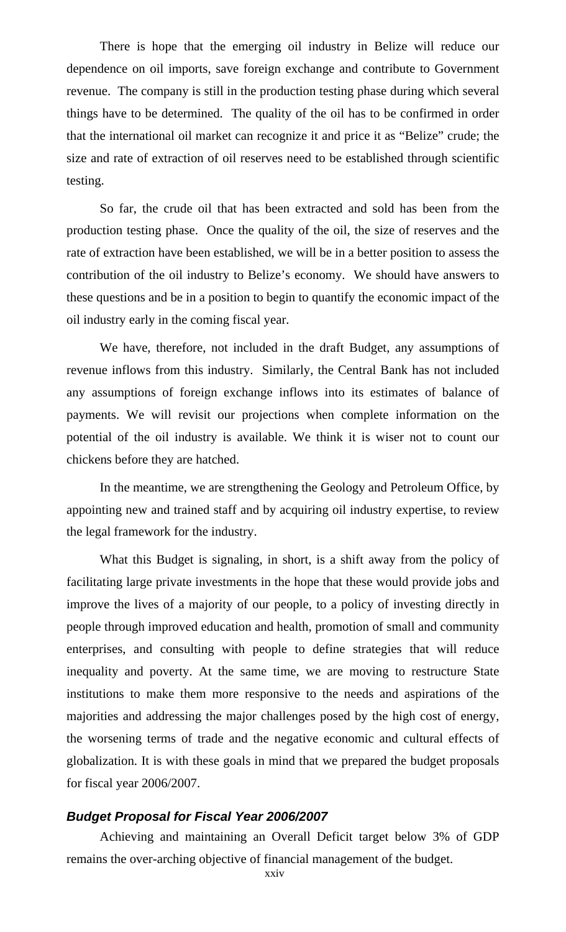There is hope that the emerging oil industry in Belize will reduce our dependence on oil imports, save foreign exchange and contribute to Government revenue. The company is still in the production testing phase during which several things have to be determined. The quality of the oil has to be confirmed in order that the international oil market can recognize it and price it as "Belize" crude; the size and rate of extraction of oil reserves need to be established through scientific testing.

So far, the crude oil that has been extracted and sold has been from the production testing phase. Once the quality of the oil, the size of reserves and the rate of extraction have been established, we will be in a better position to assess the contribution of the oil industry to Belize's economy. We should have answers to these questions and be in a position to begin to quantify the economic impact of the oil industry early in the coming fiscal year.

We have, therefore, not included in the draft Budget, any assumptions of revenue inflows from this industry. Similarly, the Central Bank has not included any assumptions of foreign exchange inflows into its estimates of balance of payments. We will revisit our projections when complete information on the potential of the oil industry is available. We think it is wiser not to count our chickens before they are hatched.

In the meantime, we are strengthening the Geology and Petroleum Office, by appointing new and trained staff and by acquiring oil industry expertise, to review the legal framework for the industry.

What this Budget is signaling, in short, is a shift away from the policy of facilitating large private investments in the hope that these would provide jobs and improve the lives of a majority of our people, to a policy of investing directly in people through improved education and health, promotion of small and community enterprises, and consulting with people to define strategies that will reduce inequality and poverty. At the same time, we are moving to restructure State institutions to make them more responsive to the needs and aspirations of the majorities and addressing the major challenges posed by the high cost of energy, the worsening terms of trade and the negative economic and cultural effects of globalization. It is with these goals in mind that we prepared the budget proposals for fiscal year 2006/2007.

# *Budget Proposal for Fiscal Year 2006/2007*

Achieving and maintaining an Overall Deficit target below 3% of GDP remains the over-arching objective of financial management of the budget.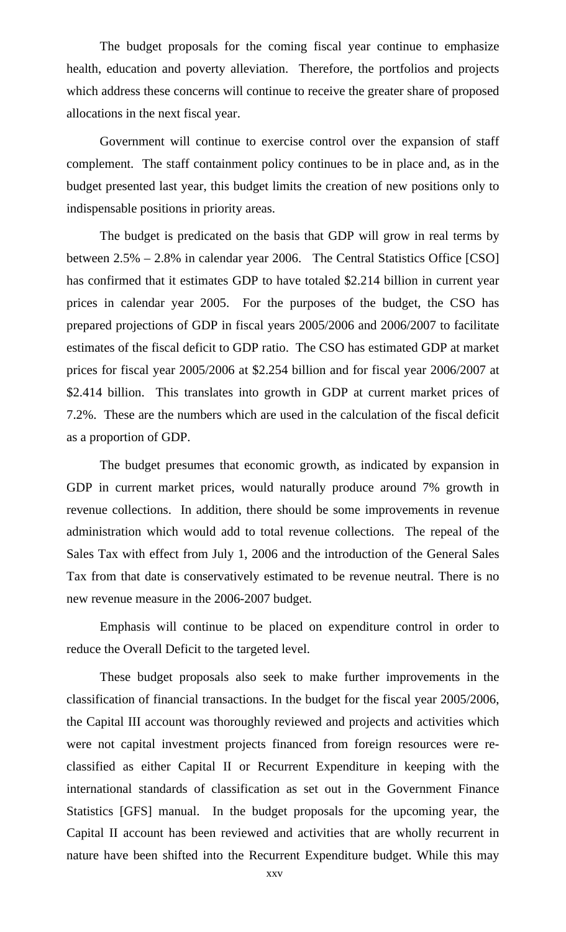The budget proposals for the coming fiscal year continue to emphasize health, education and poverty alleviation. Therefore, the portfolios and projects which address these concerns will continue to receive the greater share of proposed allocations in the next fiscal year.

Government will continue to exercise control over the expansion of staff complement. The staff containment policy continues to be in place and, as in the budget presented last year, this budget limits the creation of new positions only to indispensable positions in priority areas.

The budget is predicated on the basis that GDP will grow in real terms by between 2.5% – 2.8% in calendar year 2006. The Central Statistics Office [CSO] has confirmed that it estimates GDP to have totaled \$2.214 billion in current year prices in calendar year 2005. For the purposes of the budget, the CSO has prepared projections of GDP in fiscal years 2005/2006 and 2006/2007 to facilitate estimates of the fiscal deficit to GDP ratio. The CSO has estimated GDP at market prices for fiscal year 2005/2006 at \$2.254 billion and for fiscal year 2006/2007 at \$2.414 billion. This translates into growth in GDP at current market prices of 7.2%. These are the numbers which are used in the calculation of the fiscal deficit as a proportion of GDP.

The budget presumes that economic growth, as indicated by expansion in GDP in current market prices, would naturally produce around 7% growth in revenue collections. In addition, there should be some improvements in revenue administration which would add to total revenue collections. The repeal of the Sales Tax with effect from July 1, 2006 and the introduction of the General Sales Tax from that date is conservatively estimated to be revenue neutral. There is no new revenue measure in the 2006-2007 budget.

Emphasis will continue to be placed on expenditure control in order to reduce the Overall Deficit to the targeted level.

These budget proposals also seek to make further improvements in the classification of financial transactions. In the budget for the fiscal year 2005/2006, the Capital III account was thoroughly reviewed and projects and activities which were not capital investment projects financed from foreign resources were reclassified as either Capital II or Recurrent Expenditure in keeping with the international standards of classification as set out in the Government Finance Statistics [GFS] manual. In the budget proposals for the upcoming year, the Capital II account has been reviewed and activities that are wholly recurrent in nature have been shifted into the Recurrent Expenditure budget. While this may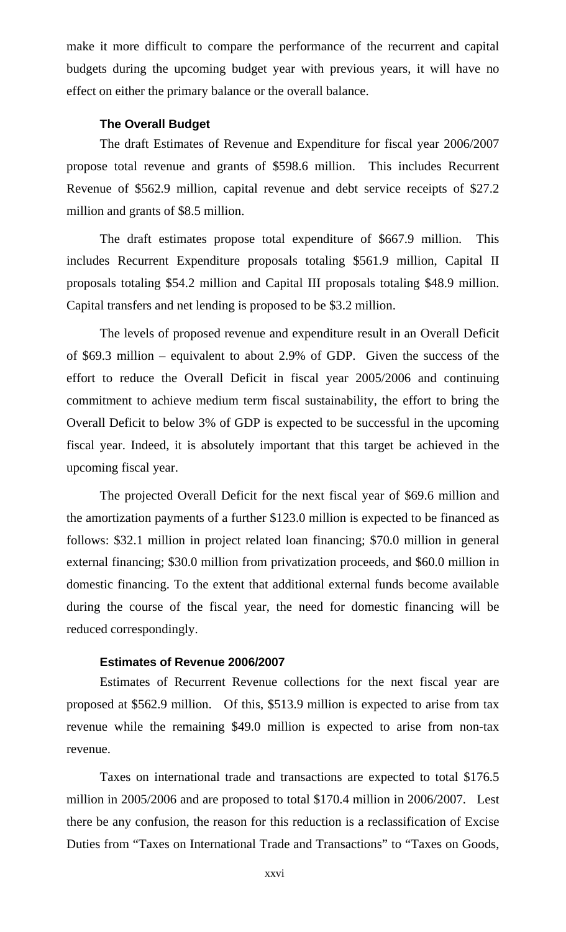make it more difficult to compare the performance of the recurrent and capital budgets during the upcoming budget year with previous years, it will have no effect on either the primary balance or the overall balance.

#### **The Overall Budget**

The draft Estimates of Revenue and Expenditure for fiscal year 2006/2007 propose total revenue and grants of \$598.6 million. This includes Recurrent Revenue of \$562.9 million, capital revenue and debt service receipts of \$27.2 million and grants of \$8.5 million.

The draft estimates propose total expenditure of \$667.9 million. This includes Recurrent Expenditure proposals totaling \$561.9 million, Capital II proposals totaling \$54.2 million and Capital III proposals totaling \$48.9 million. Capital transfers and net lending is proposed to be \$3.2 million.

The levels of proposed revenue and expenditure result in an Overall Deficit of \$69.3 million – equivalent to about 2.9% of GDP. Given the success of the effort to reduce the Overall Deficit in fiscal year 2005/2006 and continuing commitment to achieve medium term fiscal sustainability, the effort to bring the Overall Deficit to below 3% of GDP is expected to be successful in the upcoming fiscal year. Indeed, it is absolutely important that this target be achieved in the upcoming fiscal year.

The projected Overall Deficit for the next fiscal year of \$69.6 million and the amortization payments of a further \$123.0 million is expected to be financed as follows: \$32.1 million in project related loan financing; \$70.0 million in general external financing; \$30.0 million from privatization proceeds, and \$60.0 million in domestic financing. To the extent that additional external funds become available during the course of the fiscal year, the need for domestic financing will be reduced correspondingly.

#### **Estimates of Revenue 2006/2007**

Estimates of Recurrent Revenue collections for the next fiscal year are proposed at \$562.9 million. Of this, \$513.9 million is expected to arise from tax revenue while the remaining \$49.0 million is expected to arise from non-tax revenue.

Taxes on international trade and transactions are expected to total \$176.5 million in 2005/2006 and are proposed to total \$170.4 million in 2006/2007. Lest there be any confusion, the reason for this reduction is a reclassification of Excise Duties from "Taxes on International Trade and Transactions" to "Taxes on Goods,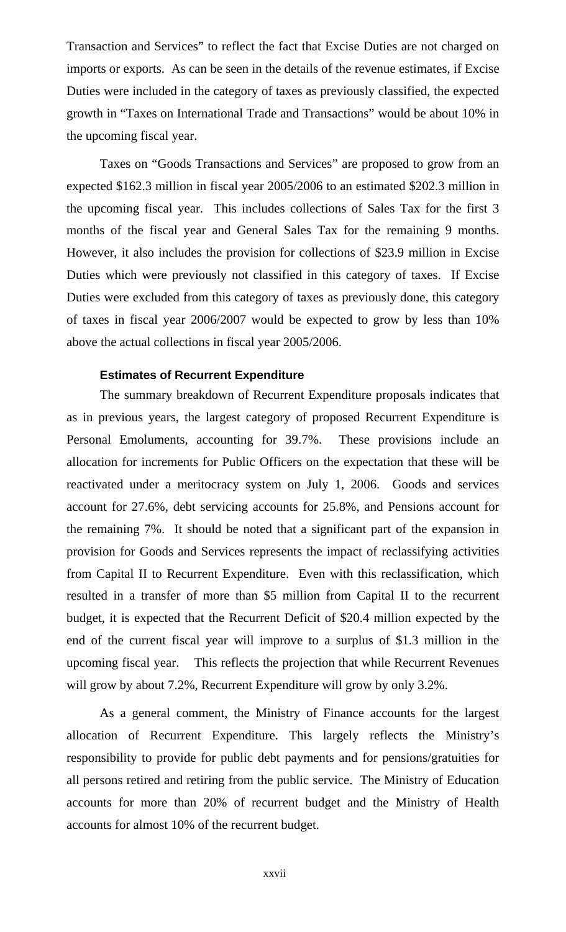Transaction and Services" to reflect the fact that Excise Duties are not charged on imports or exports. As can be seen in the details of the revenue estimates, if Excise Duties were included in the category of taxes as previously classified, the expected growth in "Taxes on International Trade and Transactions" would be about 10% in the upcoming fiscal year.

Taxes on "Goods Transactions and Services" are proposed to grow from an expected \$162.3 million in fiscal year 2005/2006 to an estimated \$202.3 million in the upcoming fiscal year. This includes collections of Sales Tax for the first 3 months of the fiscal year and General Sales Tax for the remaining 9 months. However, it also includes the provision for collections of \$23.9 million in Excise Duties which were previously not classified in this category of taxes. If Excise Duties were excluded from this category of taxes as previously done, this category of taxes in fiscal year 2006/2007 would be expected to grow by less than 10% above the actual collections in fiscal year 2005/2006.

#### **Estimates of Recurrent Expenditure**

The summary breakdown of Recurrent Expenditure proposals indicates that as in previous years, the largest category of proposed Recurrent Expenditure is Personal Emoluments, accounting for 39.7%. These provisions include an allocation for increments for Public Officers on the expectation that these will be reactivated under a meritocracy system on July 1, 2006. Goods and services account for 27.6%, debt servicing accounts for 25.8%, and Pensions account for the remaining 7%. It should be noted that a significant part of the expansion in provision for Goods and Services represents the impact of reclassifying activities from Capital II to Recurrent Expenditure. Even with this reclassification, which resulted in a transfer of more than \$5 million from Capital II to the recurrent budget, it is expected that the Recurrent Deficit of \$20.4 million expected by the end of the current fiscal year will improve to a surplus of \$1.3 million in the upcoming fiscal year. This reflects the projection that while Recurrent Revenues will grow by about 7.2%, Recurrent Expenditure will grow by only 3.2%.

As a general comment, the Ministry of Finance accounts for the largest allocation of Recurrent Expenditure. This largely reflects the Ministry's responsibility to provide for public debt payments and for pensions/gratuities for all persons retired and retiring from the public service. The Ministry of Education accounts for more than 20% of recurrent budget and the Ministry of Health accounts for almost 10% of the recurrent budget.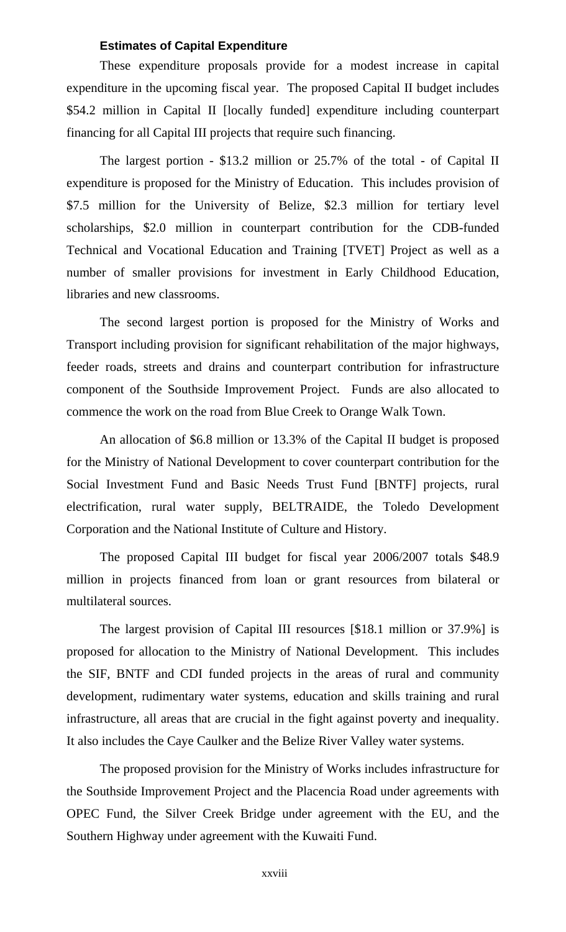#### **Estimates of Capital Expenditure**

These expenditure proposals provide for a modest increase in capital expenditure in the upcoming fiscal year. The proposed Capital II budget includes \$54.2 million in Capital II [locally funded] expenditure including counterpart financing for all Capital III projects that require such financing.

The largest portion - \$13.2 million or 25.7% of the total - of Capital II expenditure is proposed for the Ministry of Education. This includes provision of \$7.5 million for the University of Belize, \$2.3 million for tertiary level scholarships, \$2.0 million in counterpart contribution for the CDB-funded Technical and Vocational Education and Training [TVET] Project as well as a number of smaller provisions for investment in Early Childhood Education, libraries and new classrooms.

The second largest portion is proposed for the Ministry of Works and Transport including provision for significant rehabilitation of the major highways, feeder roads, streets and drains and counterpart contribution for infrastructure component of the Southside Improvement Project. Funds are also allocated to commence the work on the road from Blue Creek to Orange Walk Town.

An allocation of \$6.8 million or 13.3% of the Capital II budget is proposed for the Ministry of National Development to cover counterpart contribution for the Social Investment Fund and Basic Needs Trust Fund [BNTF] projects, rural electrification, rural water supply, BELTRAIDE, the Toledo Development Corporation and the National Institute of Culture and History.

The proposed Capital III budget for fiscal year 2006/2007 totals \$48.9 million in projects financed from loan or grant resources from bilateral or multilateral sources.

The largest provision of Capital III resources [\$18.1 million or 37.9%] is proposed for allocation to the Ministry of National Development. This includes the SIF, BNTF and CDI funded projects in the areas of rural and community development, rudimentary water systems, education and skills training and rural infrastructure, all areas that are crucial in the fight against poverty and inequality. It also includes the Caye Caulker and the Belize River Valley water systems.

The proposed provision for the Ministry of Works includes infrastructure for the Southside Improvement Project and the Placencia Road under agreements with OPEC Fund, the Silver Creek Bridge under agreement with the EU, and the Southern Highway under agreement with the Kuwaiti Fund.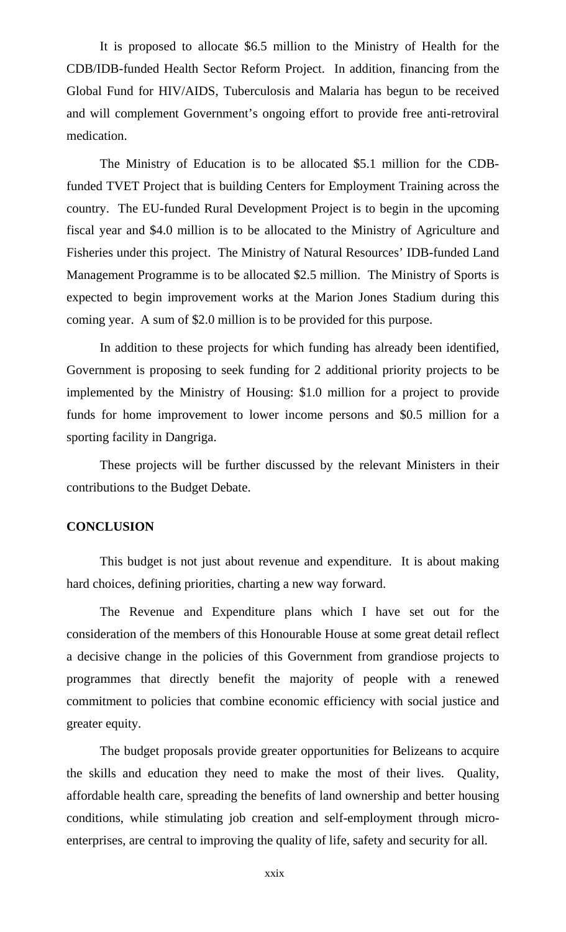It is proposed to allocate \$6.5 million to the Ministry of Health for the CDB/IDB-funded Health Sector Reform Project. In addition, financing from the Global Fund for HIV/AIDS, Tuberculosis and Malaria has begun to be received and will complement Government's ongoing effort to provide free anti-retroviral medication.

The Ministry of Education is to be allocated \$5.1 million for the CDBfunded TVET Project that is building Centers for Employment Training across the country. The EU-funded Rural Development Project is to begin in the upcoming fiscal year and \$4.0 million is to be allocated to the Ministry of Agriculture and Fisheries under this project. The Ministry of Natural Resources' IDB-funded Land Management Programme is to be allocated \$2.5 million. The Ministry of Sports is expected to begin improvement works at the Marion Jones Stadium during this coming year. A sum of \$2.0 million is to be provided for this purpose.

In addition to these projects for which funding has already been identified, Government is proposing to seek funding for 2 additional priority projects to be implemented by the Ministry of Housing: \$1.0 million for a project to provide funds for home improvement to lower income persons and \$0.5 million for a sporting facility in Dangriga.

These projects will be further discussed by the relevant Ministers in their contributions to the Budget Debate.

#### **CONCLUSION**

This budget is not just about revenue and expenditure. It is about making hard choices, defining priorities, charting a new way forward.

The Revenue and Expenditure plans which I have set out for the consideration of the members of this Honourable House at some great detail reflect a decisive change in the policies of this Government from grandiose projects to programmes that directly benefit the majority of people with a renewed commitment to policies that combine economic efficiency with social justice and greater equity.

The budget proposals provide greater opportunities for Belizeans to acquire the skills and education they need to make the most of their lives. Quality, affordable health care, spreading the benefits of land ownership and better housing conditions, while stimulating job creation and self-employment through microenterprises, are central to improving the quality of life, safety and security for all.